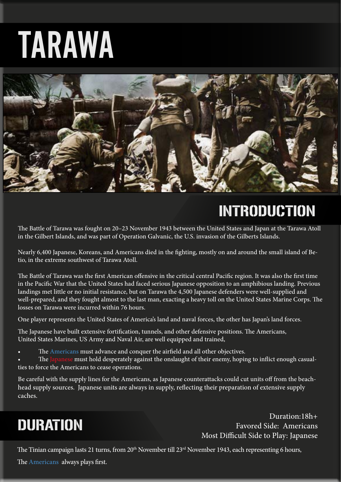# TARAWA



# INTRODUCTION

The Battle of Tarawa was fought on 20–23 November 1943 between the United States and Japan at the Tarawa Atoll in the Gilbert Islands, and was part of Operation Galvanic, the U.S. invasion of the Gilberts Islands.

Nearly 6,400 Japanese, Koreans, and Americans died in the fighting, mostly on and around the small island of Betio, in the extreme southwest of Tarawa Atoll.

The Battle of Tarawa was the first American offensive in the critical central Pacific region. It was also the first time in the Pacific War that the United States had faced serious Japanese opposition to an amphibious landing. Previous landings met little or no initial resistance, but on Tarawa the 4,500 Japanese defenders were well-supplied and well-prepared, and they fought almost to the last man, exacting a heavy toll on the United States Marine Corps. The losses on Tarawa were incurred within 76 hours.

One player represents the United States of America's land and naval forces, the other has Japan's land forces.

The Japanese have built extensive fortification, tunnels, and other defensive positions. The Americans, United States Marines, US Army and Naval Air, are well equipped and trained,

- The Americans must advance and conquer the airfield and all other objectives.
- The Japanese must hold desperately against the onslaught of their enemy, hoping to inflict enough casualties to force the Americans to cease operations.

Be careful with the supply lines for the Americans, as Japanese counterattacks could cut units off from the beachhead supply sources. Japanese units are always in supply, reflecting their preparation of extensive supply caches.

## **DURATION**

Duration:18h+ Favored Side: Americans Most Difficult Side to Play: Japanese

The Tinian campaign lasts 21 turns, from 20<sup>th</sup> November till 23<sup>rd</sup> November 1943, each representing 6 hours,

The Americans always plays first.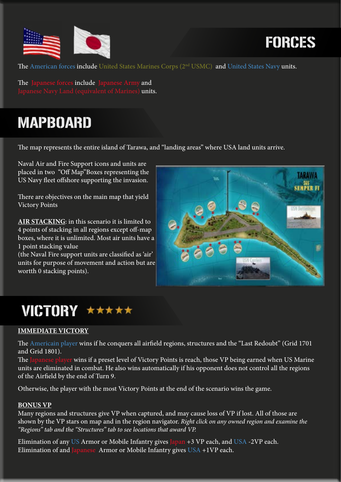

## FORCES

The American forces include United States Marines Corps (2<sup>nd</sup> USMC) and United States Navy units.

The Japanese forces include Japanese Army and s) units.

### MAPBOARD

The map represents the entire island of Tarawa, and "landing areas" where USA land units arrive.

Naval Air and Fire Support icons and units are placed in two "Off Map"Boxes representing the US Navy fleet offshore supporting the invasion.

There are objectives on the main map that yield Victory Points

**AIR STACKING**: in this scenario it is limited to 4 points of stacking in all regions except off-map boxes, where it is unlimited. Most air units have a 1 point stacking value

(the Naval Fire support units are classified as 'air' units for purpose of movement and action but are wortth 0 stacking points).



### VICTORY \*\*\*\*\*

#### **IMMEDIATE VICTORY**

The Americain player wins if he conquers all airfield regions, structures and the "Last Redoubt" (Grid 1701 and Grid 1801).

The Japanese player wins if a preset level of Victory Points is reach, those VP being earned when US Marine units are eliminated in combat. He also wins automatically if his opponent does not control all the regions of the Airfield by the end of Turn 9.

Otherwise, the player with the most Victory Points at the end of the scenario wins the game.

#### **BONUS VP**

Many regions and structures give VP when captured, and may cause loss of VP if lost. All of those are shown by the VP stars on map and in the region navigator. *Right click on any owned region and examine the "Regions" tab and the "Structures" tab to see locations that award VP.*

Elimination of any US Armor or Mobile Infantry gives Japan +3 VP each, and USA -2VP each. Elimination of and Japanese Armor or Mobile Infantry gives  $USA +1VP$  each.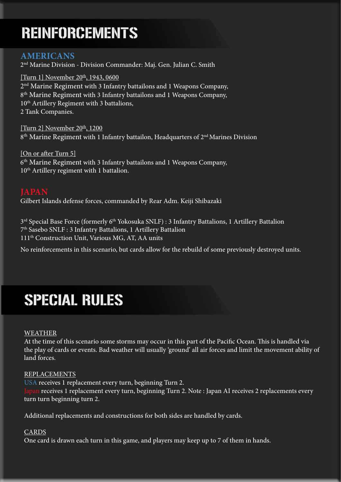## REINFORCEMENTS

#### **AMERICANS**

2nd Marine Division - Division Commander: Maj. Gen. Julian C. Smith

[Turn 1] November 20<sup>th</sup>, 1943, 0600 2<sup>nd</sup> Marine Regiment with 3 Infantry battailons and 1 Weapons Company, 8<sup>th</sup> Marine Regiment with 3 Infantry battailons and 1 Weapons Company, 10<sup>th</sup> Artillery Regiment with 3 battalions, 2 Tank Companies.

[Turn 2] November  $20<sup>th</sup>$ , 1200  $8<sup>th</sup>$  Marine Regiment with 1 Infantry battailon, Headquarters of  $2<sup>nd</sup>$  Marines Division

[On or after Turn 5] 6<sup>th</sup> Marine Regiment with 3 Infantry battailons and 1 Weapons Company, 10<sup>th</sup> Artillery regiment with 1 battalion.

**JAPAN** Gilbert Islands defense forces, commanded by Rear Adm. Keiji Shibazaki

3<sup>rd</sup> Special Base Force (formerly 6<sup>th</sup> Yokosuka SNLF) : 3 Infantry Battalions, 1 Artillery Battalion 7th Sasebo SNLF : 3 Infantry Battalions, 1 Artillery Battalion 111th Construction Unit, Various MG, AT, AA units

No reinforcements in this scenario, but cards allow for the rebuild of some previously destroyed units.

### SPECIAL RULES

#### WEATHER

At the time of this scenario some storms may occur in this part of the Pacific Ocean. This is handled via the play of cards or events. Bad weather will usually 'ground' all air forces and limit the movement ability of land forces.

#### REPLACEMENTS

USA receives 1 replacement every turn, beginning Turn 2. receives 1 replacement every turn, beginning Turn 2. Note : Japan AI receives 2 replacements every turn turn beginning turn 2.

Additional replacements and constructions for both sides are handled by cards.

#### CARDS

One card is drawn each turn in this game, and players may keep up to 7 of them in hands.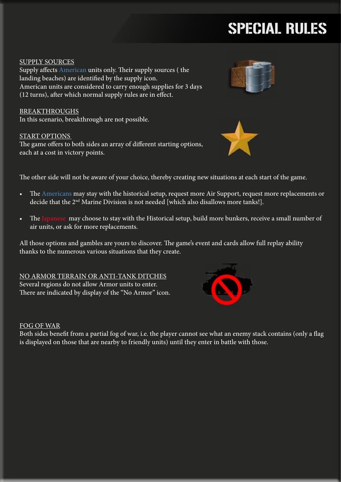# SPECIAL RULES

#### SUPPLY SOURCES

Supply affects American units only. Their supply sources ( the landing beaches) are identified by the supply icon. American units are considered to carry enough supplies for 3 days (12 turns), after which normal supply rules are in effect.

BREAKTHROUGHS In this scenario, breakthrough are not possible.

#### START OPTIONS

The game offers to both sides an array of different starting options, each at a cost in victory points.





The other side will not be aware of your choice, thereby creating new situations at each start of the game.

- The Americans may stay with the historical setup, request more Air Support, request more replacements or decide that the 2<sup>nd</sup> Marine Division is not needed [which also disallows more tanks!].
- The Japanese may choose to stay with the Historical setup, build more bunkers, receive a small number of air units, or ask for more replacements.

All those options and gambles are yours to discover. The game's event and cards allow full replay ability thanks to the numerous various situations that they create.

NO ARMOR TERRAIN OR ANTI-TANK DITCHES Several regions do not allow Armor units to enter. There are indicated by display of the "No Armor" icon.

#### FOG OF WAR

Both sides benefit from a partial fog of war, i.e. the player cannot see what an enemy stack contains (only a flag is displayed on those that are nearby to friendly units) until they enter in battle with those.